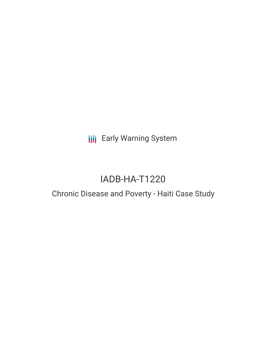**III** Early Warning System

# IADB-HA-T1220

## Chronic Disease and Poverty - Haiti Case Study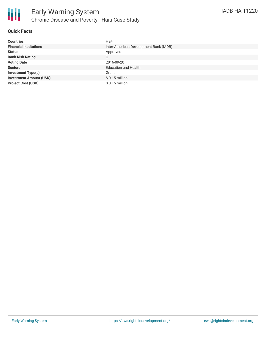

### **Quick Facts**

| <b>Countries</b>               | Haiti                                  |
|--------------------------------|----------------------------------------|
| <b>Financial Institutions</b>  | Inter-American Development Bank (IADB) |
| <b>Status</b>                  | Approved                               |
| <b>Bank Risk Rating</b>        | C                                      |
| <b>Voting Date</b>             | 2016-09-20                             |
| <b>Sectors</b>                 | <b>Education and Health</b>            |
| <b>Investment Type(s)</b>      | Grant                                  |
| <b>Investment Amount (USD)</b> | $$0.15$ million                        |
| <b>Project Cost (USD)</b>      | $$0.15$ million                        |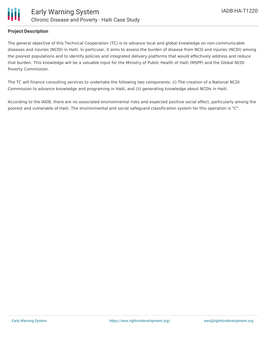

#### **Project Description**

The general objective of this Technical Cooperation (TC) is to advance local and global knowledge on non-communicable diseases and injuries (NCDI) in Haiti. In particular, it aims to assess the burden of disease from NCD and injuries (NCDI) among the poorest populations and to identify policies and integrated delivery platforms that would effectively address and reduce that burden. This knowledge will be a valuable input for the Ministry of Public Health of Haiti (MSPP) and the Global NCDI Poverty Commission.

The TC will finance consulting services to undertake the following two components: (i) The creation of a National NCDI Commission to advance knowledge and programing in Haiti, and (ii) generating knowledge about NCDIs in Haiti.

According to the IADB, there are no associated environmental risks and expected positive social effect, particularly among the poorest and vulnerable of Haiti. The environmental and social safeguard classification system for this operation is "C".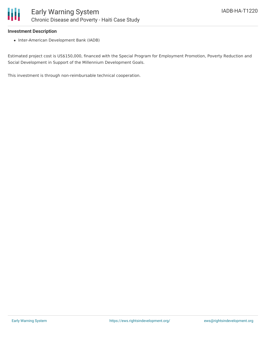

#### **Investment Description**

• Inter-American Development Bank (IADB)

Estimated project cost is US\$150,000, financed with the Special Program for Employment Promotion, Poverty Reduction and Social Development in Support of the Millennium Development Goals.

This investment is through non-reimbursable technical cooperation.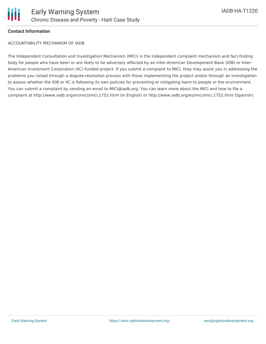

#### **Contact Information**

ACCOUNTABILITY MECHANISM OF IADB

The Independent Consultation and Investigation Mechanism (MICI) is the independent complaint mechanism and fact-finding body for people who have been or are likely to be adversely affected by an Inter-American Development Bank (IDB) or Inter-American Investment Corporation (IIC)-funded project. If you submit a complaint to MICI, they may assist you in addressing the problems you raised through a dispute-resolution process with those implementing the project and/or through an investigation to assess whether the IDB or IIC is following its own policies for preventing or mitigating harm to people or the environment. You can submit a complaint by sending an email to MICI@iadb.org. You can learn more about the MICI and how to file a complaint at http://www.iadb.org/en/mici/mici,1752.html (in English) or http://www.iadb.org/es/mici/mici,1752.html (Spanish).